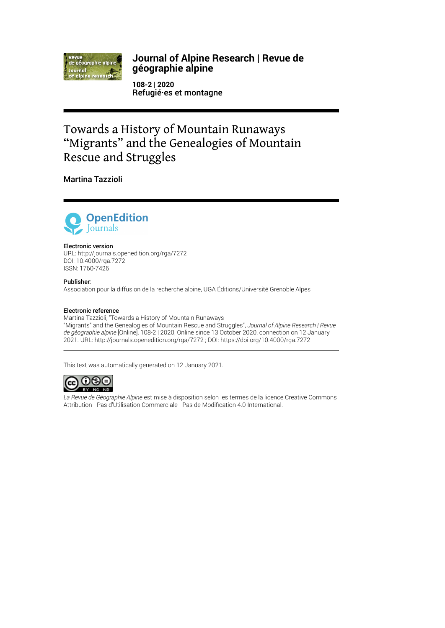

# **Journal of Alpine Research | Revue de géographie alpine**

**108-2 | 2020** Refugié·es et montagne

# Towards a History of Mountain Runaways "Migrants" and the Genealogies of Mountain Rescue and Struggles

Martina Tazzioli



#### Electronic version

URL:<http://journals.openedition.org/rga/7272> DOI: 10.4000/rga.7272 ISSN: 1760-7426

#### Publisher:

Association pour la diffusion de la recherche alpine, UGA Éditions/Université Grenoble Alpes

#### Electronic reference

Martina Tazzioli, "Towards a History of Mountain Runaways "Migrants" and the Genealogies of Mountain Rescue and Struggles", *Journal of Alpine Research | Revue de géographie alpine* [Online], 108-2 | 2020, Online since 13 October 2020, connection on 12 January 2021. URL: http://journals.openedition.org/rga/7272 ; DOI: https://doi.org/10.4000/rga.7272

This text was automatically generated on 12 January 2021.



*La Revue de Géographie Alpine* est mise à disposition selon les termes de la [licence Creative Commons](http://creativecommons.org/licenses/by-nc-nd/4.0/) [Attribution - Pas d'Utilisation Commerciale - Pas de Modi](http://creativecommons.org/licenses/by-nc-nd/4.0/)fication 4.0 International.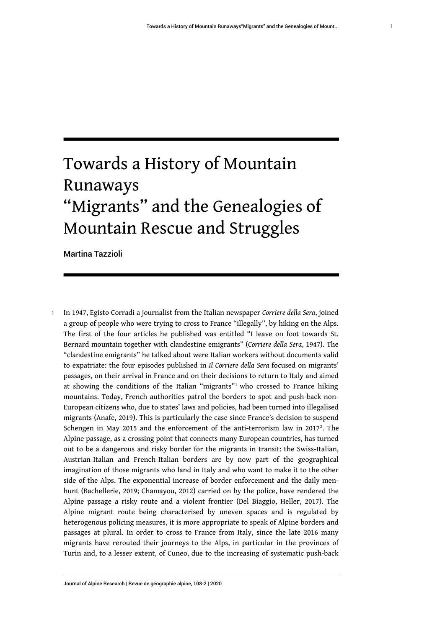# Towards a History of Mountain Runaways

# "Migrants" and the Genealogies of Mountain Rescue and Struggles

Martina Tazzioli

<span id="page-1-1"></span><span id="page-1-0"></span><sup>1</sup>In 1947, Egisto Corradi a journalist from the Italian newspaper *Corriere della Sera*, joined a group of people who were trying to cross to France "illegally", by hiking on the Alps. The first of the four articles he published was entitled "I leave on foot towards St. Bernard mountain together with clandestine emigrants" (*Corriere della Sera*, 1947). The "clandestine emigrants" he talked about were Italian workers without documents valid to expatriate: the four episodes published in *Il Corriere della Sera* focused on migrants' passages, on their arrival in France and on their decisions to return to Italy and aimed at showing the conditions of the Italian "migrants"<sup>[1](#page-13-0)</sup> who crossed to France hiking mountains. Today, French authorities patrol the borders to spot and push-back non-European citizens who, due to states' laws and policies, had been turned into illegalised migrants (Anafe, 2019). This is particularly the case since France's decision to suspend Schengen in May [2](#page-13-1)015 and the enforcement of the anti-terrorism law in 2017<sup>2</sup>. The Alpine passage, as a crossing point that connects many European countries, has turned out to be a dangerous and risky border for the migrants in transit: the Swiss-Italian, Austrian-Italian and French-Italian borders are by now part of the geographical imagination of those migrants who land in Italy and who want to make it to the other side of the Alps. The exponential increase of border enforcement and the daily menhunt (Bachellerie, 2019; Chamayou, 2012) carried on by the police, have rendered the Alpine passage a risky route and a violent frontier (Del Biaggio, Heller, 2017). The Alpine migrant route being characterised by uneven spaces and is regulated by heterogenous policing measures, it is more appropriate to speak of Alpine borders and passages at plural. In order to cross to France from Italy, since the late 2016 many migrants have rerouted their journeys to the Alps, in particular in the provinces of Turin and, to a lesser extent, of Cuneo, due to the increasing of systematic push-back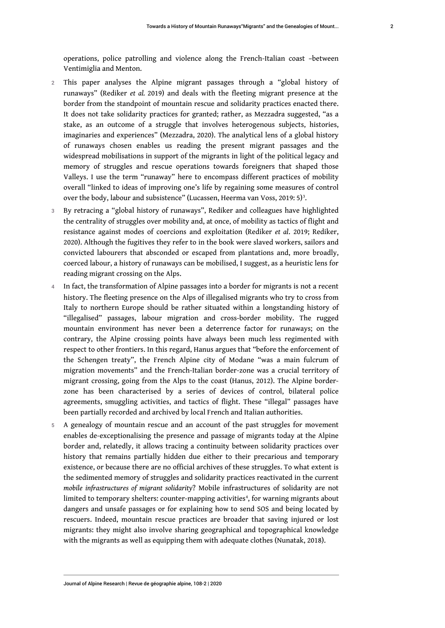operations, police patrolling and violence along the French-Italian coast –between Ventimiglia and Menton.

- 2 This paper analyses the Alpine migrant passages through a "global history of runaways" (Rediker *et al.* 2019) and deals with the fleeting migrant presence at the border from the standpoint of mountain rescue and solidarity practices enacted there. It does not take solidarity practices for granted; rather, as Mezzadra suggested, "as a stake, as an outcome of a struggle that involves heterogenous subjects, histories, imaginaries and experiences" (Mezzadra, 2020). The analytical lens of a global history of runaways chosen enables us reading the present migrant passages and the widespread mobilisations in support of the migrants in light of the political legacy and memory of struggles and rescue operations towards foreigners that shaped those Valleys. I use the term "runaway" here to encompass different practices of mobility overall "linked to ideas of improving one's life by regaining some measures of control over the body, labour and subsistence" (Lucassen, Heerma van Voss, 2019: 5) $^3$  $^3$ .
- <span id="page-2-0"></span>3 By retracing a "global history of runaways", Rediker and colleagues have highlighted the centrality of struggles over mobility and, at once, of mobility as tactics of flight and resistance against modes of coercions and exploitation (Rediker *et al*. 2019; Rediker, 2020). Although the fugitives they refer to in the book were slaved workers, sailors and convicted labourers that absconded or escaped from plantations and, more broadly, coerced labour, a history of runaways can be mobilised, I suggest, as a heuristic lens for reading migrant crossing on the Alps.
- In fact, the transformation of Alpine passages into a border for migrants is not a recent history. The fleeting presence on the Alps of illegalised migrants who try to cross from Italy to northern Europe should be rather situated within a longstanding history of "illegalised" passages, labour migration and cross-border mobility. The rugged mountain environment has never been a deterrence factor for runaways; on the contrary, the Alpine crossing points have always been much less regimented with respect to other frontiers. In this regard, Hanus argues that "before the enforcement of the Schengen treaty", the French Alpine city of Modane "was a main fulcrum of migration movements" and the French-Italian border-zone was a crucial territory of migrant crossing, going from the Alps to the coast (Hanus, 2012). The Alpine borderzone has been characterised by a series of devices of control, bilateral police agreements, smuggling activities, and tactics of flight. These "illegal" passages have been partially recorded and archived by local French and Italian authorities.
- <span id="page-2-1"></span>5 A genealogy of mountain rescue and an account of the past struggles for movement enables de-exceptionalising the presence and passage of migrants today at the Alpine border and, relatedly, it allows tracing a continuity between solidarity practices over history that remains partially hidden due either to their precarious and temporary existence, or because there are no official archives of these struggles. To what extent is the sedimented memory of struggles and solidarity practices reactivated in the current *mobile infrastructures of migrant solidarity*? Mobile infrastructures of solidarity are not limited to temporary shelters: counter-mapping activities<sup>[4](#page-14-0)</sup>, for warning migrants about dangers and unsafe passages or for explaining how to send SOS and being located by rescuers. Indeed, mountain rescue practices are broader that saving injured or lost migrants: they might also involve sharing geographical and topographical knowledge with the migrants as well as equipping them with adequate clothes (Nunatak, 2018).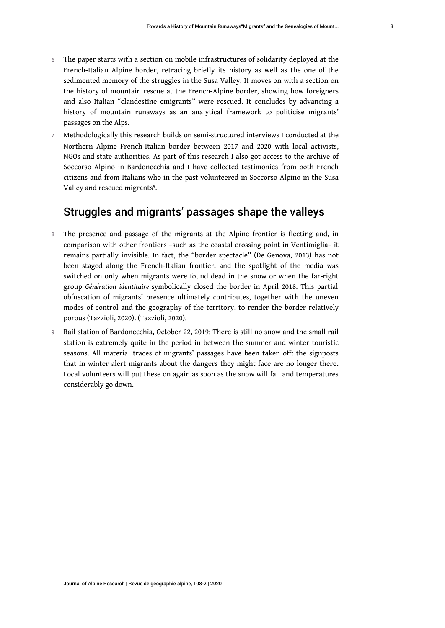- 6 The paper starts with a section on mobile infrastructures of solidarity deployed at the French-Italian Alpine border, retracing briefly its history as well as the one of the sedimented memory of the struggles in the Susa Valley. It moves on with a section on the history of mountain rescue at the French-Alpine border, showing how foreigners and also Italian "clandestine emigrants" were rescued. It concludes by advancing a history of mountain runaways as an analytical framework to politicise migrants' passages on the Alps.
- 7 Methodologically this research builds on semi-structured interviews I conducted at the Northern Alpine French-Italian border between 2017 and 2020 with local activists, NGOs and state authorities. As part of this research I also got access to the archive of Soccorso Alpino in Bardonecchia and I have collected testimonies from both French citizens and from Italians who in the past volunteered in Soccorso Alpino in the Susa Valley and rescued migrants<sup>[5](#page-14-1)</sup>.

# <span id="page-3-0"></span>Struggles and migrants' passages shape the valleys

- 8 The presence and passage of the migrants at the Alpine frontier is fleeting and, in comparison with other frontiers –such as the coastal crossing point in Ventimiglia– it remains partially invisible. In fact, the "border spectacle" (De Genova, 2013) has not been staged along the French-Italian frontier, and the spotlight of the media was switched on only when migrants were found dead in the snow or when the far-right group *Génération identitaire* symbolically closed the border in April 2018. This partial obfuscation of migrants' presence ultimately contributes, together with the uneven modes of control and the geography of the territory, to render the border relatively porous (Tazzioli, 2020). (Tazzioli, 2020).
- 9 Rail station of Bardonecchia, October 22, 2019: There is still no snow and the small rail station is extremely quite in the period in between the summer and winter touristic seasons. All material traces of migrants' passages have been taken off: the signposts that in winter alert migrants about the dangers they might face are no longer there**.** Local volunteers will put these on again as soon as the snow will fall and temperatures considerably go down.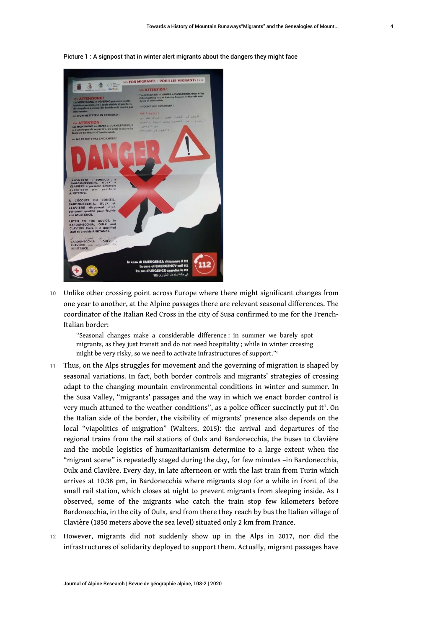Picture 1 : A signpost that in winter alert migrants about the dangers they might face



10 Unlike other crossing point across Europe where there might significant changes from one year to another, at the Alpine passages there are relevant seasonal differences. The coordinator of the Italian Red Cross in the city of Susa confirmed to me for the French-Italian border:

<span id="page-4-1"></span><span id="page-4-0"></span>"Seasonal changes make a considerable difference : in summer we barely spot migrants, as they just transit and do not need hospitality ; while in winter crossing might be very risky, so we need to activate infrastructures of support."[6](#page-14-2)

- 11 Thus, on the Alps struggles for movement and the governing of migration is shaped by seasonal variations. In fact, both border controls and migrants' strategies of crossing adapt to the changing mountain environmental conditions in winter and summer. In the Susa Valley, "migrants' passages and the way in which we enact border control is very much attuned to the weather conditions", as a police officer succinctly put it<sup>[7](#page-14-3)</sup>. On the Italian side of the border, the visibility of migrants' presence also depends on the local "viapolitics of migration" (Walters, 2015): the arrival and departures of the regional trains from the rail stations of Oulx and Bardonecchia, the buses to Clavière and the mobile logistics of humanitarianism determine to a large extent when the "migrant scene" is repeatedly staged during the day, for few minutes –in Bardonecchia, Oulx and Clavière. Every day, in late afternoon or with the last train from Turin which arrives at 10.38 pm, in Bardonecchia where migrants stop for a while in front of the small rail station, which closes at night to prevent migrants from sleeping inside. As I observed, some of the migrants who catch the train stop few kilometers before Bardonecchia, in the city of Oulx, and from there they reach by bus the Italian village of Clavière (1850 meters above the sea level) situated only 2 km from France.
- 12 However, migrants did not suddenly show up in the Alps in 2017, nor did the infrastructures of solidarity deployed to support them. Actually, migrant passages have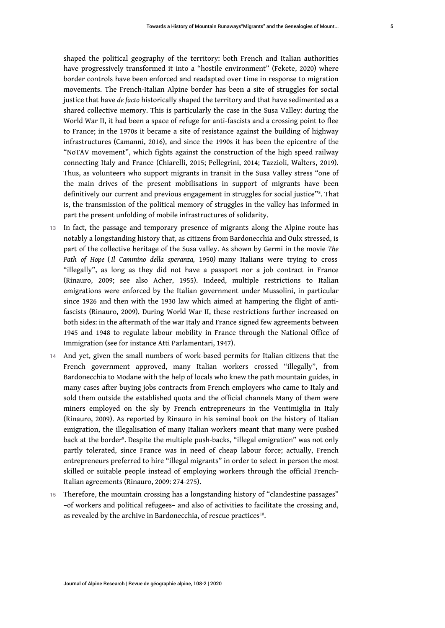shaped the political geography of the territory: both French and Italian authorities have progressively transformed it into a "hostile environment" (Fekete, 2020) where border controls have been enforced and readapted over time in response to migration movements. The French-Italian Alpine border has been a site of struggles for social justice that have *de facto* historically shaped the territory and that have sedimented as a shared collective memory. This is particularly the case in the Susa Valley: during the World War II, it had been a space of refuge for anti-fascists and a crossing point to flee to France; in the 1970s it became a site of resistance against the building of highway infrastructures (Camanni, 2016), and since the 1990s it has been the epicentre of the "NoTAV movement", which fights against the construction of the high speed railway connecting Italy and France (Chiarelli, 2015; Pellegrini, 2014; Tazzioli, Walters, 2019). Thus, as volunteers who support migrants in transit in the Susa Valley stress "one of the main drives of the present mobilisations in support of migrants have been definitively our current and previous engagement in struggles for social justice"<sup>s</sup>. That is, the transmission of the political memory of struggles in the valley has informed in part the present unfolding of mobile infrastructures of solidarity.

- <span id="page-5-0"></span>13 In fact, the passage and temporary presence of migrants along the Alpine route has notably a longstanding history that, as citizens from Bardonecchia and Oulx stressed, is part of the collective heritage of the Susa valley. As shown by Germi in the movie *The Path of Hope* (*Il Cammino della speranza,* 1950*)* many Italians were trying to cross "illegally", as long as they did not have a passport nor a job contract in France (Rinauro, 2009; see also Acher, 1955). Indeed, multiple restrictions to Italian emigrations were enforced by the Italian government under Mussolini, in particular since 1926 and then with the 1930 law which aimed at hampering the flight of antifascists (Rinauro, 2009). During World War II, these restrictions further increased on both sides: in the aftermath of the war Italy and France signed few agreements between 1945 and 1948 to regulate labour mobility in France through the National Office of Immigration (see for instance Atti Parlamentari, 1947).
- 14 And yet, given the small numbers of work-based permits for Italian citizens that the French government approved, many Italian workers crossed "illegally", from Bardonecchia to Modane with the help of locals who knew the path mountain guides, in many cases after buying jobs contracts from French employers who came to Italy and sold them outside the established quota and the official channels Many of them were miners employed on the sly by French entrepreneurs in the Ventimiglia in Italy (Rinauro, 2009). As reported by Rinauro in his seminal book on the history of Italian emigration, the illegalisation of many Italian workers meant that many were pushed back at the border°. Despite the multiple push-backs, "illegal emigration" was not only partly tolerated, since France was in need of cheap labour force; actually, French entrepreneurs preferred to hire "illegal migrants" in order to select in person the most skilled or suitable people instead of employing workers through the official French-Italian agreements (Rinauro, 2009: 274-275).
- <span id="page-5-2"></span><span id="page-5-1"></span>15 Therefore, the mountain crossing has a longstanding history of "clandestine passages" –of workers and political refugees– and also of activities to facilitate the crossing and, as revealed by the archive in Bardonecchia, of rescue practices $^{10}$  $^{10}$  $^{10}$ .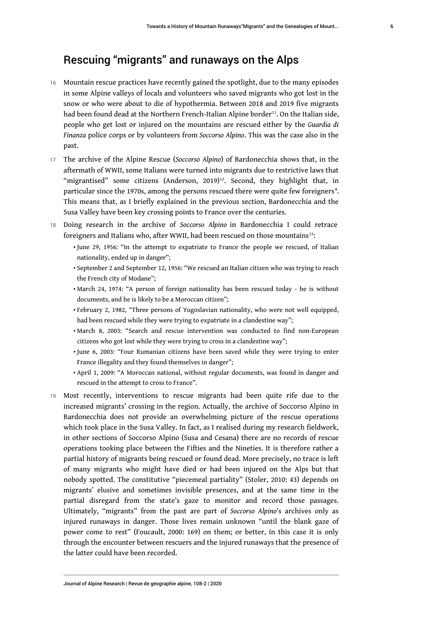# <span id="page-6-0"></span>Rescuing "migrants" and runaways on the Alps

- 16 Mountain rescue practices have recently gained the spotlight, due to the many episodes in some Alpine valleys of locals and volunteers who saved migrants who got lost in the snow or who were about to die of hypothermia. Between 2018 and 2019 five migrants had been found dead at the Northern French-Italian Alpine border<sup>[11](#page-14-7)</sup>. On the Italian side, people who get lost or injured on the mountains are rescued either by the *Guardia di Finanza* police corps or by volunteers from *Soccorso Alpino*. This was the case also in the past.
- <span id="page-6-1"></span><sup>17</sup>The archive of the Alpine Rescue (*Soccorso Alpino*) of Bardonecchia shows that, in the aftermath of WWII, some Italians were turned into migrants due to restrictive laws that "migrantised" some citizens (Anderson, 2019)<sup>[12](#page-14-8)</sup>. Second, they highlight that, in particular since the 1970s, among the persons rescued there were quite few foreigners<sup>9</sup>. This means that, as I briefly explained in the previous section, Bardonecchia and the Susa Valley have been key crossing points to France over the centuries.
- <span id="page-6-2"></span><sup>18</sup>Doing research in the archive of *Soccorso Alpino* in Bardonecchia I could retrace foreigners and Italians who, after WWII, had been rescued on those mountains<sup>[13](#page-14-9)</sup>:
	- •June 29, 1956: "In the attempt to expatriate to France the people we rescued, of Italian nationality, ended up in danger";
	- $\bullet$  September 2 and September 12, 1956: "We rescued an Italian citizen who was trying to reach the French city of Modane";
	- •March 24, 1974: "A person of foreign nationality has been rescued today he is without documents, and he is likely to be a Moroccan citizen";
	- $\bullet$  February 2, 1982, "Three persons of Yugoslavian nationality, who were not well equipped, had been rescued while they were trying to expatriate in a clandestine way";
	- $\bullet$  March 8, 2003: "Search and rescue intervention was conducted to find non-European citizens who got lost while they were trying to cross in a clandestine way";
	- $\bullet$  June 6, 2003: "Four Rumanian citizens have been saved while they were trying to enter France illegality and they found themselves in danger";
	- April 1, 2009: "A Moroccan national, without regular documents, was found in danger and rescued in the attempt to cross to France".
- 19 Most recently, interventions to rescue migrants had been quite rife due to the increased migrants' crossing in the region. Actually, the archive of Soccorso Alpino in Bardonecchia does not provide an overwhelming picture of the rescue operations which took place in the Susa Valley. In fact, as I realised during my research fieldwork, in other sections of Soccorso Alpino (Susa and Cesana) there are no records of rescue operations tooking place between the Fifties and the Nineties. It is therefore rather a partial history of migrants being rescued or found dead. More precisely, no trace is left of many migrants who might have died or had been injured on the Alps but that nobody spotted. The constitutive "piecemeal partiality" (Stoler, 2010: 43) depends on migrants' elusive and sometimes invisible presences, and at the same time in the partial disregard from the state's gaze to monitor and record those passages. Ultimately, "migrants" from the past are part of *Soccorso Alpino*'s archives only as injured runaways in danger. Those lives remain unknown "until the blank gaze of power come to rest" (Foucault, 2000: 169) on them; or better, in this case it is only through the encounter between rescuers and the injured runaways that the presence of the latter could have been recorded.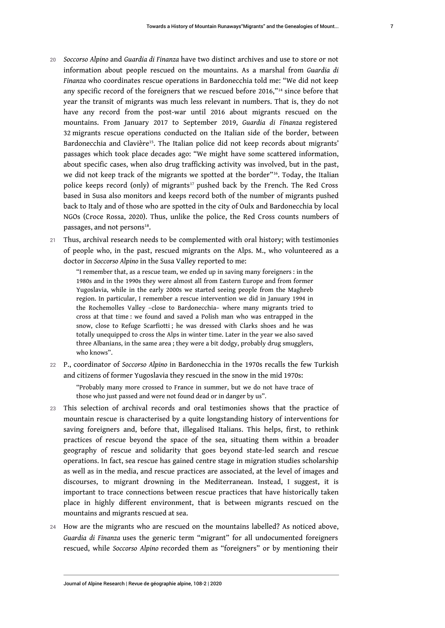- <span id="page-7-1"></span><span id="page-7-0"></span><sup>20</sup>*Soccorso Alpino* and *Guardia di Finanza* have two distinct archives and use to store or not information about people rescued on the mountains. As a marshal from *Guardia di Finanza* who coordinates rescue operations in Bardonecchia told me: "We did not keep any specific record of the foreigners that we rescued before 2016,"<sup>[14](#page-14-10)</sup> since before that year the transit of migrants was much less relevant in numbers. That is, they do not have any record from the post-war until 2016 about migrants rescued on the mountains. From January 2017 to September 2019, *Guardia di Finanza* registered 32 migrants rescue operations conducted on the Italian side of the border, between Bardonecchia and Clavière<sup>[15](#page-14-11)</sup>. The Italian police did not keep records about migrants' passages which took place decades ago: "We might have some scattered information, about specific cases, when also drug trafficking activity was involved, but in the past, we did not keep track of the migrants we spotted at the border"[16](#page-14-12). Today, the Italian police keeps record (only) of migrants<sup>[17](#page-14-13)</sup> pushed back by the French. The Red Cross based in Susa also monitors and keeps record both of the number of migrants pushed back to Italy and of those who are spotted in the city of Oulx and Bardonecchia by local NGOs (Croce Rossa, 2020). Thus, unlike the police, the Red Cross counts numbers of passages, and not persons $^{18}$  $^{18}$  $^{18}$ .
- 21 Thus, archival research needs to be complemented with oral history; with testimonies of people who, in the past, rescued migrants on the Alps. M., who volunteered as a doctor in *Soccorso Alpino* in the Susa Valley reported to me:

<span id="page-7-4"></span><span id="page-7-3"></span><span id="page-7-2"></span>"I remember that, as a rescue team, we ended up in saving many foreigners : in the 1980s and in the 1990s they were almost all from Eastern Europe and from former Yugoslavia, while in the early 2000s we started seeing people from the Maghreb region. In particular, I remember a rescue intervention we did in January 1994 in the Rochemolles Valley –close to Bardonecchia– where many migrants tried to cross at that time : we found and saved a Polish man who was entrapped in the snow, close to Refuge Scarfiotti ; he was dressed with Clarks shoes and he was totally unequipped to cross the Alps in winter time. Later in the year we also saved three Albanians, in the same area ; they were a bit dodgy, probably drug smugglers, who knows".

<sup>22</sup>P., coordinator of *Soccorso Alpino* in Bardonecchia in the 1970s recalls the few Turkish and citizens of former Yugoslavia they rescued in the snow in the mid 1970s:

"Probably many more crossed to France in summer, but we do not have trace of those who just passed and were not found dead or in danger by us".

- 23 This selection of archival records and oral testimonies shows that the practice of mountain rescue is characterised by a quite longstanding history of interventions for saving foreigners and, before that, illegalised Italians. This helps, first, to rethink practices of rescue beyond the space of the sea, situating them within a broader geography of rescue and solidarity that goes beyond state-led search and rescue operations. In fact, sea rescue has gained centre stage in migration studies scholarship as well as in the media, and rescue practices are associated, at the level of images and discourses, to migrant drowning in the Mediterranean. Instead, I suggest, it is important to trace connections between rescue practices that have historically taken place in highly different environment, that is between migrants rescued on the mountains and migrants rescued at sea.
- 24 How are the migrants who are rescued on the mountains labelled? As noticed above, *Guardia di Finanza* uses the generic term "migrant" for all undocumented foreigners rescued, while *Soccorso Alpino* recorded them as "foreigners" or by mentioning their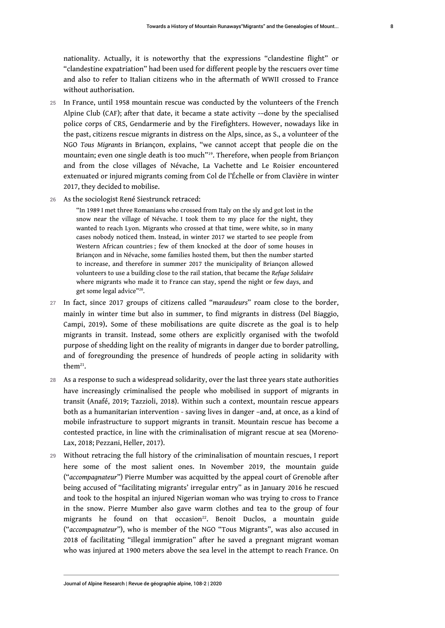nationality. Actually, it is noteworthy that the expressions "clandestine flight" or "clandestine expatriation" had been used for different people by the rescuers over time and also to refer to Italian citizens who in the aftermath of WWII crossed to France without authorisation.

- 25 In France, until 1958 mountain rescue was conducted by the volunteers of the French Alpine Club (CAF); after that date, it became a state activity -–done by the specialised police corps of CRS, Gendarmerie and by the Firefighters. However, nowadays like in the past, citizens rescue migrants in distress on the Alps, since, as S., a volunteer of the NGO *Tous Migrants* in Briançon, explains, "we cannot accept that people die on the mountain; even one single death is too much"[19](#page-14-15). Therefore, when people from Briançon and from the close villages of Névache, La Vachette and Le Roisier encountered extenuated or injured migrants coming from Col de l'Échelle or from Clavière in winter 2017, they decided to mobilise.
- 26 As the sociologist René Siestrunck retraced:

<span id="page-8-0"></span>"In 1989 I met three Romanians who crossed from Italy on the sly and got lost in the snow near the village of Névache. I took them to my place for the night, they wanted to reach Lyon. Migrants who crossed at that time, were white, so in many cases nobody noticed them. Instead, in winter 2017 we started to see people from Western African countries ; few of them knocked at the door of some houses in Briançon and in Névache, some families hosted them, but then the number started to increase, and therefore in summer 2017 the municipality of Briançon allowed volunteers to use a building close to the rail station, that became the *Refuge Solidaire* where migrants who made it to France can stay, spend the night or few days, and get some legal advice"<sup>[20](#page-14-16)</sup>.

- <span id="page-8-1"></span><sup>27</sup>In fact, since 2017 groups of citizens called "*maraudeurs*" roam close to the border, mainly in winter time but also in summer, to find migrants in distress (Del Biaggio, Campi, 2019)**.** Some of these mobilisations are quite discrete as the goal is to help migrants in transit. Instead, some others are explicitly organised with the twofold purpose of shedding light on the reality of migrants in danger due to border patrolling, and of foregrounding the presence of hundreds of people acting in solidarity with them $^{21}$  $^{21}$  $^{21}$ .
- <span id="page-8-2"></span>28 As a response to such a widespread solidarity, over the last three years state authorities have increasingly criminalised the people who mobilised in support of migrants in transit (Anafé, 2019; Tazzioli, 2018). Within such a context, mountain rescue appears both as a humanitarian intervention - saving lives in danger –and, at once, as a kind of mobile infrastructure to support migrants in transit. Mountain rescue has become a contested practice, in line with the criminalisation of migrant rescue at sea (Moreno-Lax, 2018; Pezzani, Heller, 2017).
- <span id="page-8-3"></span>29 Without retracing the full history of the criminalisation of mountain rescues, I report here some of the most salient ones. In November 2019, the mountain guide ("*accompagnateur*") Pierre Mumber was acquitted by the appeal court of Grenoble after being accused of "facilitating migrants' irregular entry" as in January 2016 he rescued and took to the hospital an injured Nigerian woman who was trying to cross to France in the snow. Pierre Mumber also gave warm clothes and tea to the group of four migrants he found on that occasion<sup>[22](#page-14-18)</sup>. Benoit Duclos, a mountain guide ("*accompagnateur*"), who is member of the NGO "Tous Migrants", was also accused in 2018 of facilitating "illegal immigration" after he saved a pregnant migrant woman who was injured at 1900 meters above the sea level in the attempt to reach France. On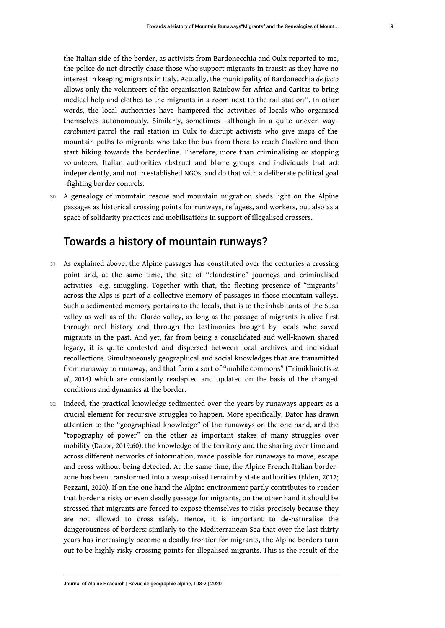<span id="page-9-0"></span>the Italian side of the border, as activists from Bardonecchia and Oulx reported to me, the police do not directly chase those who support migrants in transit as they have no interest in keeping migrants in Italy. Actually, the municipality of Bardonecchia *de facto* allows only the volunteers of the organisation Rainbow for Africa and Caritas to bring medical help and clothes to the migrants in a room next to the rail station<sup>[23](#page-14-19)</sup>. In other words, the local authorities have hampered the activities of locals who organised themselves autonomously. Similarly, sometimes –although in a quite uneven way– *carabinieri* patrol the rail station in Oulx to disrupt activists who give maps of the mountain paths to migrants who take the bus from there to reach Clavière and then start hiking towards the borderline. Therefore, more than criminalising or stopping volunteers, Italian authorities obstruct and blame groups and individuals that act independently, and not in established NGOs, and do that with a deliberate political goal –fighting border controls.

30 A genealogy of mountain rescue and mountain migration sheds light on the Alpine passages as historical crossing points for runways, refugees, and workers, but also as a space of solidarity practices and mobilisations in support of illegalised crossers.

# Towards a history of mountain runways?

- 31 As explained above, the Alpine passages has constituted over the centuries a crossing point and, at the same time, the site of "clandestine" journeys and criminalised activities –e.g. smuggling. Together with that, the fleeting presence of "migrants" across the Alps is part of a collective memory of passages in those mountain valleys. Such a sedimented memory pertains to the locals, that is to the inhabitants of the Susa valley as well as of the Clarée valley, as long as the passage of migrants is alive first through oral history and through the testimonies brought by locals who saved migrants in the past. And yet, far from being a consolidated and well-known shared legacy, it is quite contested and dispersed between local archives and individual recollections. Simultaneously geographical and social knowledges that are transmitted from runaway to runaway, and that form a sort of "mobile commons" (Trimikliniotis *et al.,* 2014) which are constantly readapted and updated on the basis of the changed conditions and dynamics at the border.
- 32 Indeed, the practical knowledge sedimented over the years by runaways appears as a crucial element for recursive struggles to happen. More specifically, Dator has drawn attention to the "geographical knowledge" of the runaways on the one hand, and the "topography of power" on the other as important stakes of many struggles over mobility (Dator, 2019:60): the knowledge of the territory and the sharing over time and across different networks of information, made possible for runaways to move, escape and cross without being detected. At the same time, the Alpine French-Italian borderzone has been transformed into a weaponised terrain by state authorities (Elden, 2017; Pezzani, 2020). If on the one hand the Alpine environment partly contributes to render that border a risky or even deadly passage for migrants, on the other hand it should be stressed that migrants are forced to expose themselves to risks precisely because they are not allowed to cross safely. Hence, it is important to de-naturalise the dangerousness of borders: similarly to the Mediterranean Sea that over the last thirty years has increasingly become a deadly frontier for migrants, the Alpine borders turn out to be highly risky crossing points for illegalised migrants. This is the result of the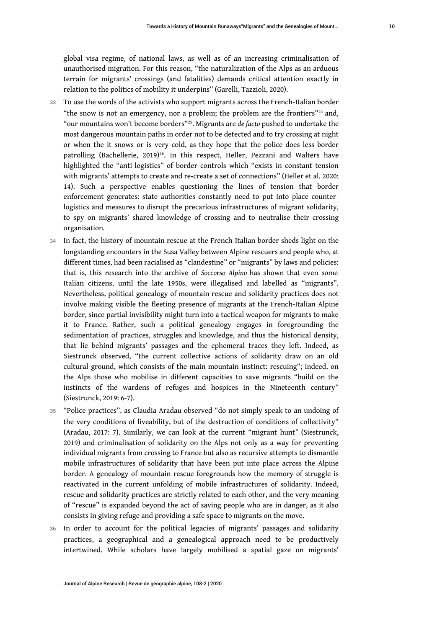<span id="page-10-1"></span><span id="page-10-0"></span>global visa regime, of national laws, as well as of an increasing criminalisation of unauthorised migration. For this reason, "the naturalization of the Alps as an arduous terrain for migrants' crossings (and fatalities) demands critical attention exactly in relation to the politics of mobility it underpins" (Garelli, Tazzioli, 2020).

- <span id="page-10-2"></span>33 To use the words of the activists who support migrants across the French-Italian border "the snow is not an emergency, nor a problem; the problem are the frontiers"<sup>[24](#page-14-20)</sup> and, "our mountains won't become borders"[25](#page-14-21). Migrants are *de facto* pushed to undertake the most dangerous mountain paths in order not to be detected and to try crossing at night or when the it snows or is very cold, as they hope that the police does less border patrolling (Bachellerie, 2019)<sup>[26](#page-15-0)</sup>. In this respect, Heller, Pezzani and Walters have highlighted the "anti-logistics" of border controls which "exists in constant tension with migrants' attempts to create and re-create a set of connections" (Heller et al. 2020: 14). Such a perspective enables questioning the lines of tension that border enforcement generates: state authorities constantly need to put into place counterlogistics and measures to disrupt the precarious infrastructures of migrant solidarity, to spy on migrants' shared knowledge of crossing and to neutralise their crossing organisation*.*
- 34 In fact, the history of mountain rescue at the French-Italian border sheds light on the longstanding encounters in the Susa Valley between Alpine rescuers and people who, at different times, had been racialised as "clandestine" or "migrants" by laws and policies: that is, this research into the archive of *Soccorso Alpino* has shown that even some Italian citizens, until the late 1950s, were illegalised and labelled as "migrants". Nevertheless, political genealogy of mountain rescue and solidarity practices does not involve making visible the fleeting presence of migrants at the French-Italian Alpine border, since partial invisibility might turn into a tactical weapon for migrants to make it to France. Rather, such a political genealogy engages in foregrounding the sedimentation of practices, struggles and knowledge, and thus the historical density, that lie behind migrants' passages and the ephemeral traces they left. Indeed, as Siestrunck observed, "the current collective actions of solidarity draw on an old cultural ground, which consists of the main mountain instinct: rescuing"; indeed, on the Alps those who mobilise in different capacities to save migrants "build on the instincts of the wardens of refuges and hospices in the Nineteenth century" (Siestrunck, 2019: 6-7).
- 35 "Police practices", as Claudia Aradau observed "do not simply speak to an undoing of the very conditions of liveability, but of the destruction of conditions of collectivity" (Aradau, 2017: 7). Similarly, we can look at the current "migrant hunt*"* (Siestrunck, 2019) and criminalisation of solidarity on the Alps not only as a way for preventing individual migrants from crossing to France but also as recursive attempts to dismantle mobile infrastructures of solidarity that have been put into place across the Alpine border. A genealogy of mountain rescue foregrounds how the memory of struggle is reactivated in the current unfolding of mobile infrastructures of solidarity. Indeed, rescue and solidarity practices are strictly related to each other, and the very meaning of "rescue" is expanded beyond the act of saving people who are in danger, as it also consists in giving refuge and providing a safe space to migrants on the move.
- 36 In order to account for the political legacies of migrants' passages and solidarity practices, a geographical and a genealogical approach need to be productively intertwined. While scholars have largely mobilised a spatial gaze on migrants'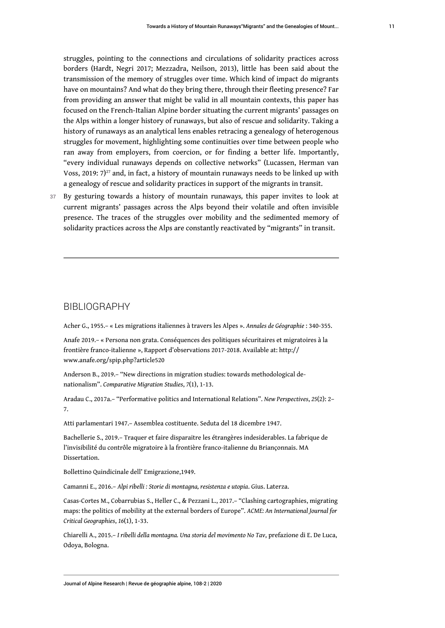struggles, pointing to the connections and circulations of solidarity practices across borders (Hardt, Negri 2017; Mezzadra, Neilson, 2013), little has been said about the transmission of the memory of struggles over time. Which kind of impact do migrants have on mountains? And what do they bring there, through their fleeting presence? Far from providing an answer that might be valid in all mountain contexts, this paper has focused on the French-Italian Alpine border situating the current migrants' passages on the Alps within a longer history of runaways, but also of rescue and solidarity. Taking a history of runaways as an analytical lens enables retracing a genealogy of heterogenous struggles for movement, highlighting some continuities over time between people who ran away from employers, from coercion, or for finding a better life. Importantly, "every individual runaways depends on collective networks" (Lucassen, Herman van Voss, 2019:  $7)^{27}$  $7)^{27}$  $7)^{27}$  and, in fact, a history of mountain runaways needs to be linked up with a genealogy of rescue and solidarity practices in support of the migrants in transit.

<span id="page-11-0"></span><sup>37</sup>By gesturing towards a history of mountain runaways*,* this paper invites to look at current migrants' passages across the Alps beyond their volatile and often invisible presence. The traces of the struggles over mobility and the sedimented memory of solidarity practices across the Alps are constantly reactivated by "migrants" in transit.

#### BIBLIOGRAPHY

Acher G., 1955.– « Les migrations italiennes à travers les Alpes ». *Annales de Géographie* : 340-355.

Anafe 2019.– « Persona non grata. Conséquences des politiques sécuritaires et migratoires à la frontière franco-italienne », Rapport d'observations 2017-2018. Available at: [http://](http://www.anafe.org/spip.php?article520) [www.anafe.org/spip.php?article520](http://www.anafe.org/spip.php?article520)

Anderson B., 2019.– "New directions in migration studies: towards methodological denationalism". *Comparative Migration Studies*, *7*(1), 1-13.

Aradau C., 2017a.– "Performative politics and International Relations". *New Perspectives*, *25*(2): 2– 7.

Atti parlamentari 1947.– Assemblea costituente. Seduta del 18 dicembre 1947.

Bachellerie S., 2019.– Traquer et faire disparaitre les étrangères indesiderables. La fabrique de l'invisibilité du contrôle migratoire à la frontière franco-italienne du Briançonnais. MA Dissertation.

Bollettino Quindicinale dell' Emigrazione,1949.

Camanni E., 2016.– *Alpi ribelli : Storie di montagna, resistenza e utopia*. Gius. Laterza.

Casas-Cortes M., Cobarrubias S., Heller C., & Pezzani L., 2017.– "Clashing cartographies, migrating maps: the politics of mobility at the external borders of Europe". *ACME: An International Journal for Critical Geographies*, *16*(1), 1-33.

Chiarelli A., 2015.– *I ribelli della montagna. Una storia del movimento No Tav*, prefazione di E. De Luca, Odoya, Bologna.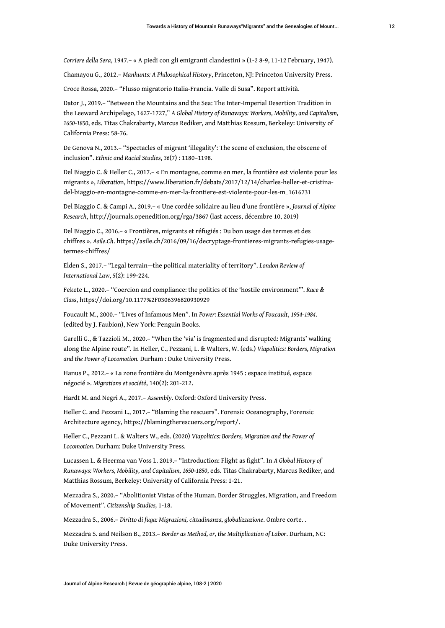*Corriere della Sera*, 1947.– « A piedi con gli emigranti clandestini » (1-2 8-9, 11-12 February, 1947).

Chamayou G., 2012.– *Manhunts: A Philosophical History*, Princeton, NJ: Princeton University Press.

Croce Rossa, 2020.– "Flusso migratorio Italia-Francia. Valle di Susa". Report attività.

Dator J., 2019.– "Between the Mountains and the Sea: The Inter-Imperial Desertion Tradition in the Leeward Archipelago, 1627-1727," *A Global History of Runaways: Workers, Mobility, and Capitalism, 1650-1850*, eds. Titas Chakrabarty, Marcus Rediker, and Matthias Rossum, Berkeley: University of California Press: 58-76.

De Genova N., 2013.– "Spectacles of migrant 'illegality': The scene of exclusion, the obscene of inclusion". *Ethnic and Racial Studies*, *36*(7) : 1180–1198.

Del Biaggio C. & Heller C., 2017.– « En montagne, comme en mer, la frontière est violente pour les migrants », *Liberatio*n, [https://www.liberation.fr/debats/2017/12/14/charles-heller-et-cristina](https://www.liberation.fr/debats/2017/12/14/charles-heller-et-cristina-del-biaggio-en-montagne-comme-en-mer-la-frontiere-est-violente-pour-les-m_1616731)[del-biaggio-en-montagne-comme-en-mer-la-frontiere-est-violente-pour-les-m\\_1616731](https://www.liberation.fr/debats/2017/12/14/charles-heller-et-cristina-del-biaggio-en-montagne-comme-en-mer-la-frontiere-est-violente-pour-les-m_1616731)

Del Biaggio C. & Campi A., 2019.– « Une cordée solidaire au lieu d'une frontière », *Journal of Alpine Research*,<http://journals.openedition.org/rga/3867>(last access, décembre 10, 2019)

Del Biaggio C., 2016.– « Frontières, migrants et réfugiés : Du bon usage des termes et des chiffres ». *Asile.Ch*. [https://asile.ch/2016/09/16/decryptage-frontieres-migrants-refugies-usage](https://asile.ch/2016/09/16/decryptage-frontieres-migrants-refugies-usage-termes-chiffres/)[termes-chiffres/](https://asile.ch/2016/09/16/decryptage-frontieres-migrants-refugies-usage-termes-chiffres/)

Elden S., 2017.– "Legal terrain—the political materiality of territory". *London Review of International Law*, *5*(2): 199-224.

Fekete L., 2020.– "Coercion and compliance: the politics of the 'hostile environment'". *Race & Class*, <https://doi.org/10.1177%2F0306396820930929>

Foucault M., 2000.– "Lives of Infamous Men". In *Power: Essential Works of Foucault*, *1954-1984*. (edited by J. Faubion), New York: Penguin Books.

Garelli G., & Tazzioli M., 2020.– "When the 'via' is fragmented and disrupted: Migrants' walking along the Alpine route". In Heller, C., Pezzani, L. & Walters, W. (eds.) *Viapolitics: Borders, Migration and the Power of Locomotion.* Durham : Duke University Press.

Hanus P., 2012.– « La zone frontière du Montgenèvre après 1945 : espace institué, espace négocié ». *Migrations et société*, 140(2): 201-212.

Hardt M. and Negri A., 2017.– *Assembly*. Oxford: Oxford University Press.

Heller C. and Pezzani L., 2017.– "Blaming the rescuers". Forensic Oceanography, Forensic Architecture agency, <https://blamingtherescuers.org/report/>.

Heller C., Pezzani L. & Walters W., eds. (2020) *Viapolitics: Borders, Migration and the Power of Locomotion.* Durham: Duke University Press.

Lucassen L. & Heerma van Voss L. 2019.– "Introduction: Flight as fight". In *A Global History of Runaways: Workers, Mobility, and Capitalism, 1650-1850*, eds. Titas Chakrabarty, Marcus Rediker, and Matthias Rossum, Berkeley: University of California Press: 1-21.

Mezzadra S., 2020.– "Abolitionist Vistas of the Human. Border Struggles, Migration, and Freedom of Movement". *Citizenship Studies,* 1-18.

Mezzadra S., 2006.– *Diritto di fuga: Migrazioni, cittadinanza, globalizzazione*. Ombre corte. .

Mezzadra S. and Neilson B., 2013.– *Border as Method, or, the Multiplication of Labor*. Durham, NC: Duke University Press.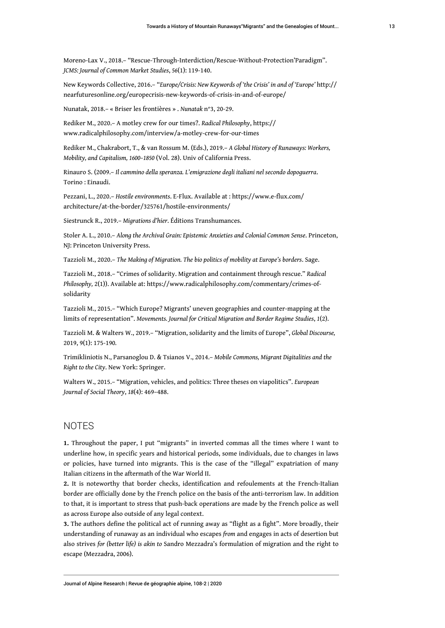Moreno-Lax V., 2018.– "Rescue‐Through‐Interdiction/Rescue‐Without‐Protection'Paradigm". *JCMS: Journal of Common Market Studies*, *56*(1): 119-140.

New Keywords Collective, 2016.– "*Europe/Crisis: New Keywords of 'the Crisis' in and of 'Europe'* [http://](http://nearfuturesonline.org/europecrisis-new-keywords-of-crisis-in-and-of-europe/) [nearfuturesonline.org/europecrisis-new-keywords-of-crisis-in-and-of-europe/](http://nearfuturesonline.org/europecrisis-new-keywords-of-crisis-in-and-of-europe/)

Nunatak, 2018.– « Briser les frontières » . *Nunatak* n°3, 20-29.

Rediker M., 2020.– A motley crew for our times?. *Radical Philosophy*, [https://](https://www.radicalphilosophy.com/interview/a-motley-crew-for-our-times) [www.radicalphilosophy.com/interview/a-motley-crew-for-our-times](https://www.radicalphilosophy.com/interview/a-motley-crew-for-our-times) 

Rediker M., Chakrabort, T., & van Rossum M. (Eds.), 2019.– *A Global History of Runaways: Workers, Mobility, and Capitalism, 1600–1850* (Vol. 28). Univ of California Press.

Rinauro S. (2009.– *Il cammino della speranza. L'emigrazione degli italiani nel secondo dopoguerra*. Torino : Einaudi.

Pezzani, L., 2020.– *Hostile environments*. E-Flux. Available at : [https://www.e-flux.com/](https://www.e-flux.com/architecture/at-the-border/325761/hostile-environments/) [architecture/at-the-border/325761/hostile-environments/](https://www.e-flux.com/architecture/at-the-border/325761/hostile-environments/)

Siestrunck R., 2019.– *Migrations d'hier*. Éditions Transhumances.

Stoler A. L., 2010.– *Along the Archival Grain: Epistemic Anxieties and Colonial Common Sense*. Princeton, NJ: Princeton University Press.

Tazzioli M., 2020.– *The Making of Migration. The bio politics of mobility at Europe's borders*. Sage.

Tazzioli M., 2018.– "Crimes of solidarity. Migration and containment through rescue." *Radical Philosophy,* 2(1)). Available at: [https://www.radicalphilosophy.com/commentary/crimes-of](https://www.radicalphilosophy.com/commentary/crimes-of-solidarity)[solidarity](https://www.radicalphilosophy.com/commentary/crimes-of-solidarity)

Tazzioli M., 2015.– "Which Europe? Migrants' uneven geographies and counter-mapping at the limits of representation". *Movements. Journal for Critical Migration and Border Regime Studies*, *1*(2).

Tazzioli M. & Walters W., 2019.– "Migration, solidarity and the limits of Europe", *Global Discourse,* 2019, 9(1): 175-190*.* 

Trimikliniotis N., Parsanoglou D. & Tsianos V., 2014.– *Mobile Commons, Migrant Digitalities and the Right to the City*. New York: Springer.

Walters W., 2015.– "Migration, vehicles, and politics: Three theses on viapolitics". *European Journal of Social Theory*, *18*(4): 469–488.

## **NOTES**

<span id="page-13-0"></span>**[1.](#page-1-0)** Throughout the paper, I put "migrants" in inverted commas all the times where I want to underline how, in specific years and historical periods, some individuals, due to changes in laws or policies, have turned into migrants. This is the case of the "illegal" expatriation of many Italian citizens in the aftermath of the War World II.

<span id="page-13-1"></span>**[2.](#page-1-1)** It is noteworthy that border checks, identification and refoulements at the French-Italian border are officially done by the French police on the basis of the anti-terrorism law. In addition to that, it is important to stress that push-back operations are made by the French police as well as across Europe also outside of any legal context.

<span id="page-13-2"></span>**[3.](#page-2-0)** The authors define the political act of running away as "flight as a fight". More broadly, their understanding of runaway as an individual who escapes *from* and engages in acts of desertion but also strives *for (better life) is akin to* Sandro Mezzadra's formulation of migration and the right to escape (Mezzadra, 2006).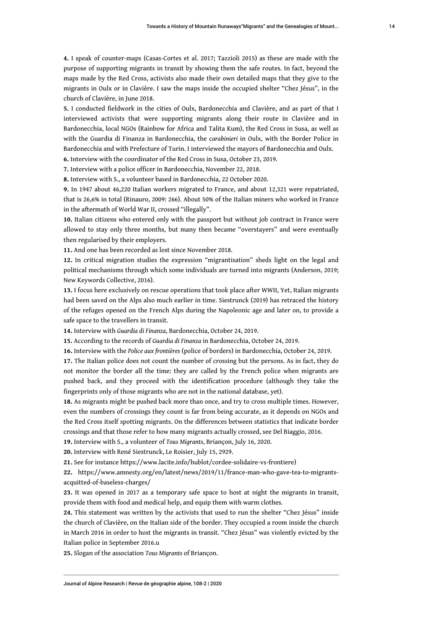<span id="page-14-0"></span>**[4.](#page-2-1)** I speak of counter-maps (Casas-Cortes et al. 2017; Tazzioli 2015) as these are made with the purpose of supporting migrants in transit by showing them the safe routes. In fact, beyond the maps made by the Red Cross, activists also made their own detailed maps that they give to the migrants in Oulx or in Clavière. I saw the maps inside the occupied shelter "Chez Jésus", in the church of Clavière, in June 2018.

<span id="page-14-1"></span>**[5.](#page-3-0)** I conducted fieldwork in the cities of Oulx, Bardonecchia and Clavière, and as part of that I interviewed activists that were supporting migrants along their route in Clavière and in Bardonecchia, local NGOs (Rainbow for Africa and Talita Kum), the Red Cross in Susa, as well as with the Guardia di Finanza in Bardonecchia, the c*arabinieri* in Oulx, with the Border Police in Bardonecchia and with Prefecture of Turin. I interviewed the mayors of Bardonecchia and Oulx.

<span id="page-14-2"></span>**[6.](#page-4-0)** Interview with the coordinator of the Red Cross in Susa, October 23, 2019.

<span id="page-14-3"></span>**[7.](#page-4-1)** Interview with a police officer in Bardonecchia, November 22, 2018.

<span id="page-14-4"></span>**[8.](#page-5-0)** Interview with S., a volunteer based in Bardonecchia, 22 October 2020.

<span id="page-14-5"></span>**[9.](#page-5-1)** In 1947 about 46,220 Italian workers migrated to France, and about 12,321 were repatriated, that is 26,6% in total (Rinauro, 2009: 266). About 50% of the Italian miners who worked in France in the aftermath of World War II, crossed "illegally".

<span id="page-14-6"></span>**[10.](#page-5-2)** Italian citizens who entered only with the passport but without job contract in France were allowed to stay only three months, but many then became "overstayers" and were eventually then regularised by their employers.

<span id="page-14-7"></span>**[11.](#page-6-0)** And one has been recorded as lost since November 2018.

<span id="page-14-8"></span>**[12.](#page-6-1)** In critical migration studies the expression "migrantisation" sheds light on the legal and political mechanisms through which some individuals are turned into migrants (Anderson, 2019; New Keywords Collective, 2016).

<span id="page-14-9"></span>**[13.](#page-6-2)** I focus here exclusively on rescue operations that took place after WWII, Yet, Italian migrants had been saved on the Alps also much earlier in time. Siestrunck (2019) has retraced the history of the refuges opened on the French Alps during the Napoleonic age and later on, to provide a safe space to the travellers in transit.

<span id="page-14-10"></span>**[14.](#page-7-0)** Interview with *Guardia di Finanza*, Bardonecchia, October 24, 2019.

<span id="page-14-11"></span>**[15.](#page-7-1)** According to the records of *Guardia di Finanza* in Bardonecchia, October 24, 2019.

<span id="page-14-12"></span>**[16.](#page-7-2)** Interview with the *Police aux frontières* (police of borders) in Bardonecchia, October 24, 2019.

<span id="page-14-13"></span>**[17.](#page-7-3)** The Italian police does not count the number of crossing but the persons. As in fact, they do not monitor the border all the time: they are called by the French police when migrants are pushed back, and they proceed with the identification procedure (although they take the fingerprints only of those migrants who are not in the national database, yet).

<span id="page-14-14"></span>**[18.](#page-7-4)** As migrants might be pushed back more than once, and try to cross multiple times. However, even the numbers of crossings they count is far from being accurate, as it depends on NGOs and the Red Cross itself spotting migrants. On the differences between statistics that indicate border crossings and that those refer to how many migrants actually crossed, see Del Biaggio, 2016.

<span id="page-14-15"></span>**[19.](#page-8-0)** Interview with S., a volunteer of *Tous Migrants*, Briançon, July 16, 2020.

<span id="page-14-16"></span>**[20.](#page-8-1)** Interview with René Siestrunck, Le Roisier, July 15, 2929.

<span id="page-14-17"></span>**[21.](#page-8-2)** See for instance https://www.lacite.info/hublot/cordee-solidaire-vs-frontiere)

<span id="page-14-18"></span>**[22.](#page-8-3)** [https://www.amnesty.org/en/latest/news/2019/11/france-man-who-gave-tea-to-migrants](https://www.amnesty.org/en/latest/news/2019/11/france-man-who-gave-tea-to-migrants-acquitted-of-baseless-charges/)[acquitted-of-baseless-charges/](https://www.amnesty.org/en/latest/news/2019/11/france-man-who-gave-tea-to-migrants-acquitted-of-baseless-charges/) 

<span id="page-14-19"></span>**[23.](#page-9-0)** It was opened in 2017 as a temporary safe space to host at night the migrants in transit, provide them with food and medical help, and equip them with warm clothes.

<span id="page-14-20"></span>**[24.](#page-10-0)** This statement was written by the activists that used to run the shelter "Chez Jésus" inside the church of Clavière, on the Italian side of the border. They occupied a room inside the church in March 2016 in order to host the migrants in transit. "Chez Jésus" was violently evicted by the Italian police in September 2016.u

<span id="page-14-21"></span>**[25.](#page-10-1)** Slogan of the association *Tous Migrants* of Briançon.